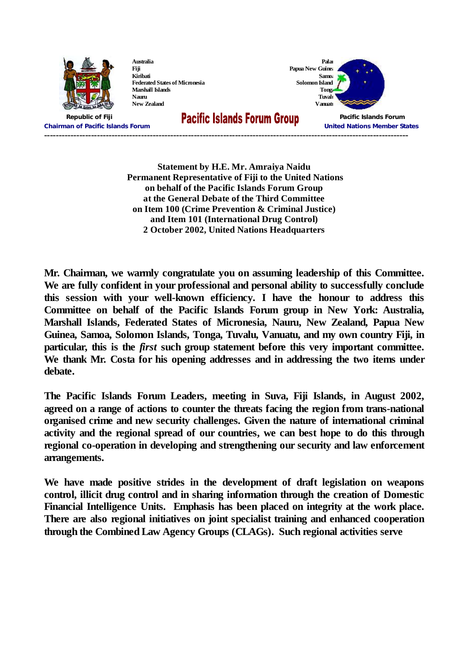

**Australia Fiji Kiribati Federated States of Micronesia Marshall Islands Nauru New Zealand**

**Samoa Solomon Island Tonga Tuvalu**

**Palau**

**Papua New Guinea Vanuatu**

**Republic of Fiji Pacific Islands Forum Chairman of Pacific Islands Forum United Nations Member States ----------------------------------------------------------------------------------------------------------------------------**

> **Statement by H.E. Mr. Amraiya Naidu Permanent Representative of Fiji to the United Nations on behalf of the Pacific Islands Forum Group at the General Debate of the Third Committee on Item 100 (Crime Prevention & Criminal Justice) and Item 101 (International Drug Control) 2 October 2002, United Nations Headquarters**

**Mr. Chairman, we warmly congratulate you on assuming leadership of this Committee. We are fully confident in your professional and personal ability to successfully conclude this session with your well-known efficiency. I have the honour to address this Committee on behalf of the Pacific Islands Forum group in New York: Australia, Marshall Islands, Federated States of Micronesia, Nauru, New Zealand, Papua New Guinea, Samoa, Solomon Islands, Tonga, Tuvalu, Vanuatu, and my own country Fiji, in particular, this is the** *first* **such group statement before this very important committee. We thank Mr. Costa for his opening addresses and in addressing the two items under debate.**

**The Pacific Islands Forum Leaders, meeting in Suva, Fiji Islands, in August 2002, agreed on a range of actions to counter the threats facing the region from trans-national organised crime and new security challenges. Given the nature of international criminal activity and the regional spread of our countries, we can best hope to do this through regional co-operation in developing and strengthening our security and law enforcement arrangements.**

**We have made positive strides in the development of draft legislation on weapons control, illicit drug control and in sharing information through the creation of Domestic Financial Intelligence Units. Emphasis has been placed on integrity at the work place. There are also regional initiatives on joint specialist training and enhanced cooperation through the Combined Law Agency Groups (CLAGs). Such regional activities serve**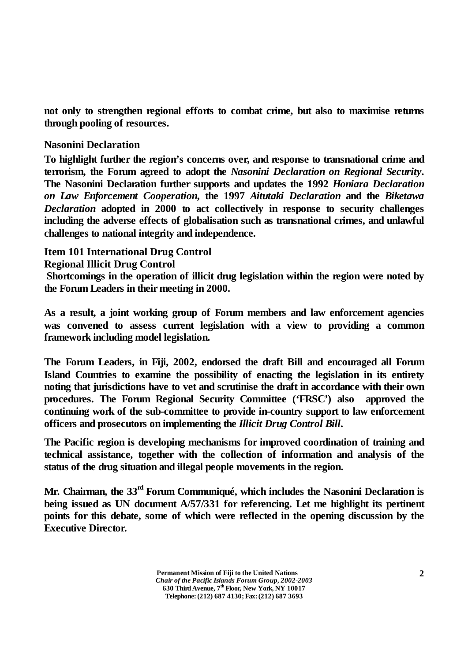**not only to strengthen regional efforts to combat crime, but also to maximise returns through pooling of resources.**

## **Nasonini Declaration**

**To highlight further the region's concerns over, and response to transnational crime and terrorism, the Forum agreed to adopt the** *Nasonini Declaration on Regional Security***. The Nasonini Declaration further supports and updates the 1992** *Honiara Declaration on Law Enforcement Cooperation***, the 1997** *Aitutaki Declaration* **and the** *Biketawa Declaration* **adopted in 2000 to act collectively in response to security challenges including the adverse effects of globalisation such as transnational crimes, and unlawful challenges to national integrity and independence.**

## **Item 101 International Drug Control Regional Illicit Drug Control**

**Shortcomings in the operation of illicit drug legislation within the region were noted by the Forum Leaders in their meeting in 2000.**

**As a result, a joint working group of Forum members and law enforcement agencies was convened to assess current legislation with a view to providing a common framework including model legislation.**

**The Forum Leaders, in Fiji, 2002, endorsed the draft Bill and encouraged all Forum Island Countries to examine the possibility of enacting the legislation in its entirety noting that jurisdictions have to vet and scrutinise the draft in accordance with their own procedures. The Forum Regional Security Committee ('FRSC') also approved the continuing work of the sub-committee to provide in-country support to law enforcement officers and prosecutors on implementing the** *Illicit Drug Control Bill***.**

**The Pacific region is developing mechanisms for improved coordination of training and technical assistance, together with the collection of information and analysis of the status of the drug situation and illegal people movements in the region.**

**Mr. Chairman, the 33 rd Forum Communiqué, which includes the Nasonini Declaration is being issued as UN document A/57/331 for referencing. Let me highlight its pertinent points for this debate, some of which were reflected in the opening discussion by the Executive Director.**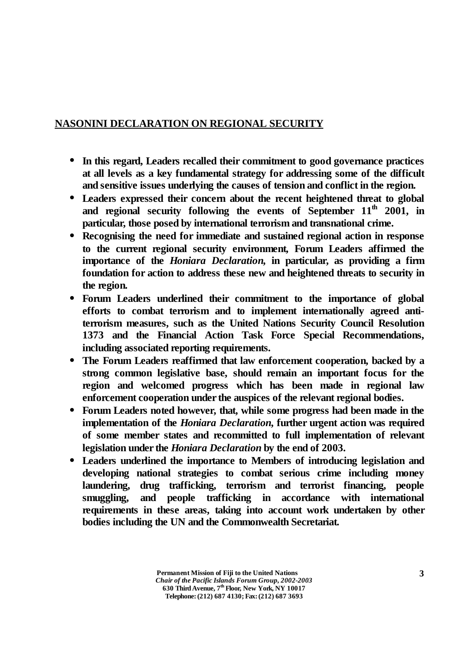## **NASONINI DECLARATION ON REGIONAL SECURITY**

- **• In this regard, Leaders recalled their commitment to good governance practices at all levels as a key fundamental strategy for addressing some of the difficult and sensitive issues underlying the causes of tension and conflict in the region.**
- **• Leaders expressed their concern about the recent heightened threat to global and regional security following the events of September 11 th 2001, in particular, those posed by international terrorism and transnational crime.**
- **• Recognising the need for immediate and sustained regional action in response to the current regional security environment, Forum Leaders affirmed the importance of the** *Honiara Declaration***, in particular, as providing a firm foundation for action to address these new and heightened threats to security in the region.**
- **• Forum Leaders underlined their commitment to the importance of global efforts to combat terrorism and to implement internationally agreed antiterrorism measures, such as the United Nations Security Council Resolution 1373 and the Financial Action Task Force Special Recommendations, including associated reporting requirements.**
- **• The Forum Leaders reaffirmed that law enforcement cooperation, backed by a strong common legislative base, should remain an important focus for the region and welcomed progress which has been made in regional law enforcement cooperation under the auspices of the relevant regional bodies.**
- **• Forum Leaders noted however, that, while some progress had been made in the implementation of the** *Honiara Declaration***, further urgent action was required of some member states and recommitted to full implementation of relevant legislation under the** *Honiara Declaration* **by the end of 2003.**
- **• Leaders underlined the importance to Members of introducing legislation and developing national strategies to combat serious crime including money laundering, drug trafficking, terrorism and terrorist financing, people smuggling, and people trafficking in accordance with international requirements in these areas, taking into account work undertaken by other bodies including the UN and the Commonwealth Secretariat.**